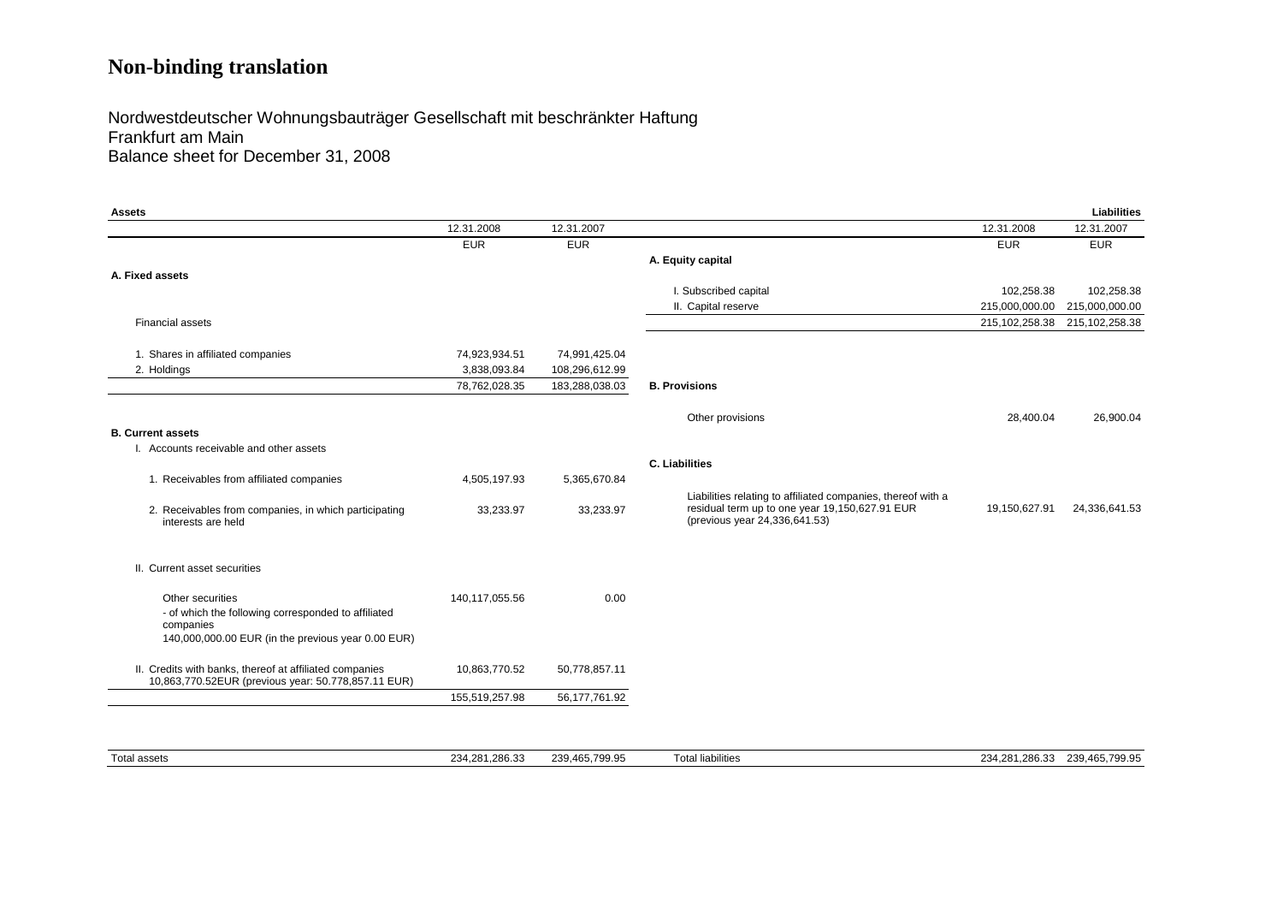# **Non-binding translation**

#### Nordwestdeutscher Wohnungsbauträger Gesellschaft mit beschränkter Haftung Frankfurt am Main Balance sheet for December 31, 2008

| Assets                                                                                                         |                |                |                                                                                                                                                 |                | Liabilities                   |
|----------------------------------------------------------------------------------------------------------------|----------------|----------------|-------------------------------------------------------------------------------------------------------------------------------------------------|----------------|-------------------------------|
|                                                                                                                | 12.31.2008     | 12.31.2007     |                                                                                                                                                 | 12.31.2008     | 12.31.2007                    |
|                                                                                                                | <b>EUR</b>     | <b>EUR</b>     |                                                                                                                                                 | <b>EUR</b>     | <b>EUR</b>                    |
|                                                                                                                |                |                | A. Equity capital                                                                                                                               |                |                               |
| A. Fixed assets                                                                                                |                |                |                                                                                                                                                 |                |                               |
|                                                                                                                |                |                | I. Subscribed capital                                                                                                                           | 102,258.38     | 102,258.38                    |
|                                                                                                                |                |                | II. Capital reserve                                                                                                                             | 215,000,000.00 | 215,000,000.00                |
| <b>Financial assets</b>                                                                                        |                |                |                                                                                                                                                 | 215,102,258.38 | 215, 102, 258. 38             |
| 1. Shares in affiliated companies                                                                              | 74,923,934.51  | 74,991,425.04  |                                                                                                                                                 |                |                               |
| 2. Holdings                                                                                                    | 3,838,093.84   | 108,296,612.99 |                                                                                                                                                 |                |                               |
|                                                                                                                | 78,762,028.35  | 183,288,038.03 | <b>B. Provisions</b>                                                                                                                            |                |                               |
|                                                                                                                |                |                |                                                                                                                                                 |                |                               |
|                                                                                                                |                |                | Other provisions                                                                                                                                | 28,400.04      | 26,900.04                     |
| <b>B. Current assets</b>                                                                                       |                |                |                                                                                                                                                 |                |                               |
| I. Accounts receivable and other assets                                                                        |                |                |                                                                                                                                                 |                |                               |
|                                                                                                                |                |                | <b>C. Liabilities</b>                                                                                                                           |                |                               |
| 1. Receivables from affiliated companies                                                                       | 4,505,197.93   | 5,365,670.84   |                                                                                                                                                 |                |                               |
| 2. Receivables from companies, in which participating<br>interests are held                                    | 33,233.97      | 33,233.97      | Liabilities relating to affiliated companies, thereof with a<br>residual term up to one year 19,150,627.91 EUR<br>(previous year 24,336,641.53) | 19,150,627.91  | 24,336,641.53                 |
| II. Current asset securities                                                                                   |                |                |                                                                                                                                                 |                |                               |
| Other securities                                                                                               | 140,117,055.56 | 0.00           |                                                                                                                                                 |                |                               |
| - of which the following corresponded to affiliated<br>companies                                               |                |                |                                                                                                                                                 |                |                               |
| 140,000,000.00 EUR (in the previous year 0.00 EUR)                                                             |                |                |                                                                                                                                                 |                |                               |
|                                                                                                                |                |                |                                                                                                                                                 |                |                               |
| II. Credits with banks, thereof at affiliated companies<br>10,863,770.52EUR (previous year: 50.778,857.11 EUR) | 10,863,770.52  | 50,778,857.11  |                                                                                                                                                 |                |                               |
|                                                                                                                | 155,519,257.98 | 56,177,761.92  |                                                                                                                                                 |                |                               |
|                                                                                                                |                |                |                                                                                                                                                 |                |                               |
| <b>Total assets</b>                                                                                            | 234.281.286.33 | 239.465.799.95 | <b>Total liabilities</b>                                                                                                                        |                | 234.281.286.33 239.465.799.95 |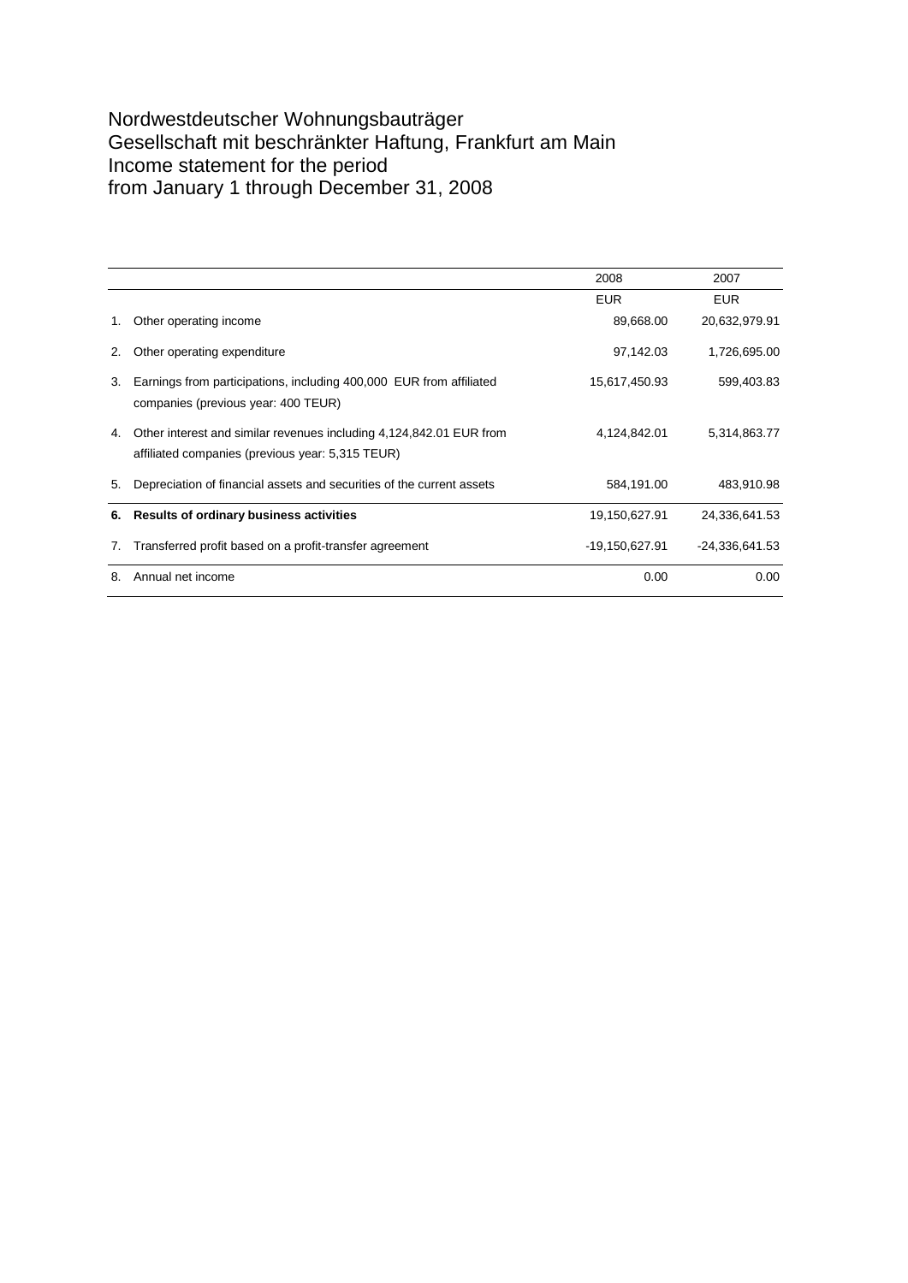### Nordwestdeutscher Wohnungsbauträger Gesellschaft mit beschränkter Haftung, Frankfurt am Main Income statement for the period from January 1 through December 31, 2008

|    |                                                                                                                         | 2008           | 2007           |
|----|-------------------------------------------------------------------------------------------------------------------------|----------------|----------------|
|    |                                                                                                                         | <b>EUR</b>     | <b>EUR</b>     |
| 1. | Other operating income                                                                                                  | 89,668.00      | 20,632,979.91  |
| 2. | Other operating expenditure                                                                                             | 97,142.03      | 1,726,695.00   |
| 3. | Earnings from participations, including 400,000 EUR from affiliated<br>companies (previous year: 400 TEUR)              | 15,617,450.93  | 599,403.83     |
| 4. | Other interest and similar revenues including 4,124,842.01 EUR from<br>affiliated companies (previous year: 5,315 TEUR) | 4,124,842.01   | 5,314,863.77   |
| 5. | Depreciation of financial assets and securities of the current assets                                                   | 584,191.00     | 483.910.98     |
|    | 6. Results of ordinary business activities                                                                              | 19,150,627.91  | 24,336,641.53  |
| 7. | Transferred profit based on a profit-transfer agreement                                                                 | -19,150,627.91 | -24.336.641.53 |
| 8. | Annual net income                                                                                                       | 0.00           | 0.00           |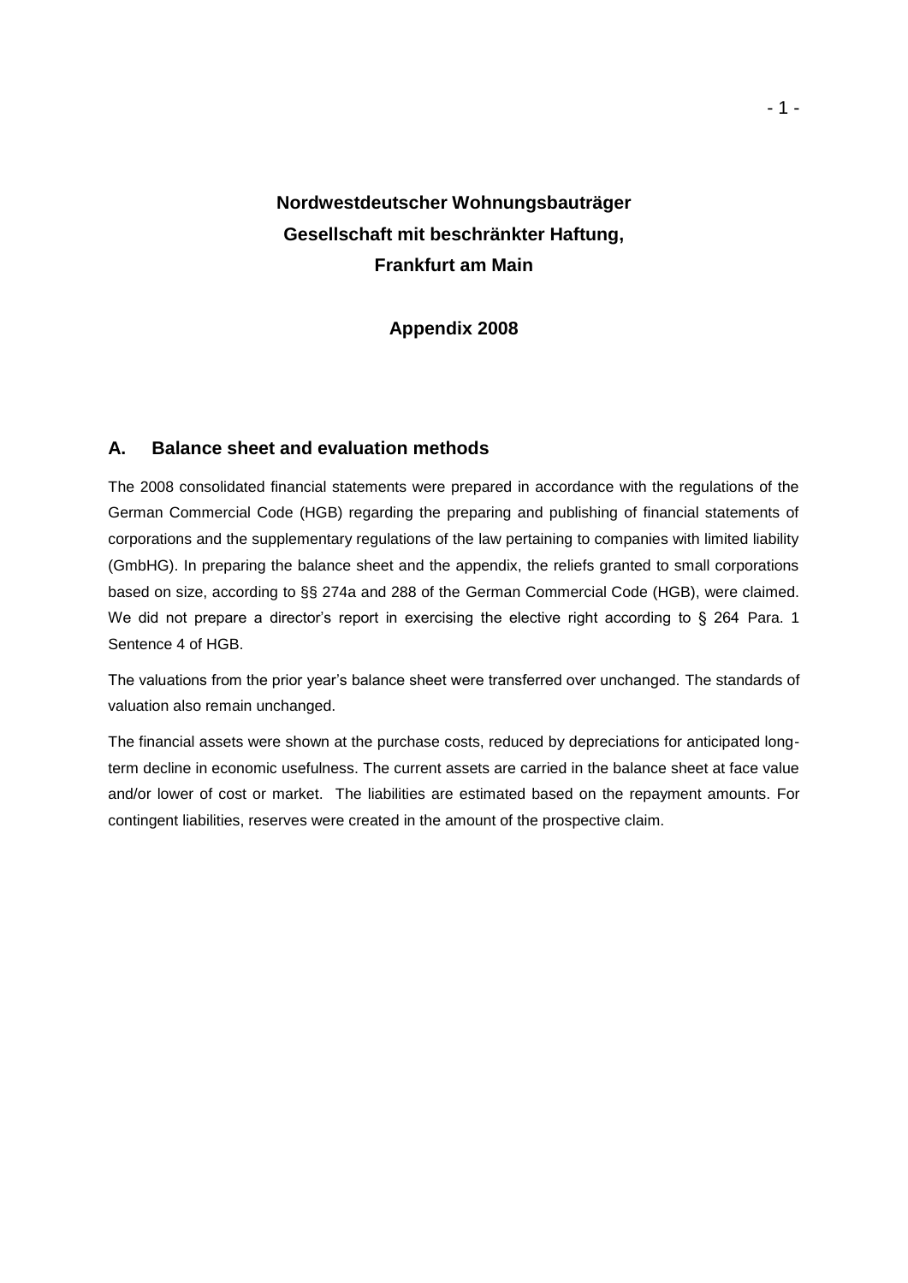# **Nordwestdeutscher Wohnungsbauträger Gesellschaft mit beschränkter Haftung, Frankfurt am Main**

**Appendix 2008**

#### **A. Balance sheet and evaluation methods**

The 2008 consolidated financial statements were prepared in accordance with the regulations of the German Commercial Code (HGB) regarding the preparing and publishing of financial statements of corporations and the supplementary regulations of the law pertaining to companies with limited liability (GmbHG). In preparing the balance sheet and the appendix, the reliefs granted to small corporations based on size, according to §§ 274a and 288 of the German Commercial Code (HGB), were claimed. We did not prepare a director's report in exercising the elective right according to § 264 Para. 1 Sentence 4 of HGB.

The valuations from the prior year's balance sheet were transferred over unchanged. The standards of valuation also remain unchanged.

The financial assets were shown at the purchase costs, reduced by depreciations for anticipated longterm decline in economic usefulness. The current assets are carried in the balance sheet at face value and/or lower of cost or market. The liabilities are estimated based on the repayment amounts. For contingent liabilities, reserves were created in the amount of the prospective claim.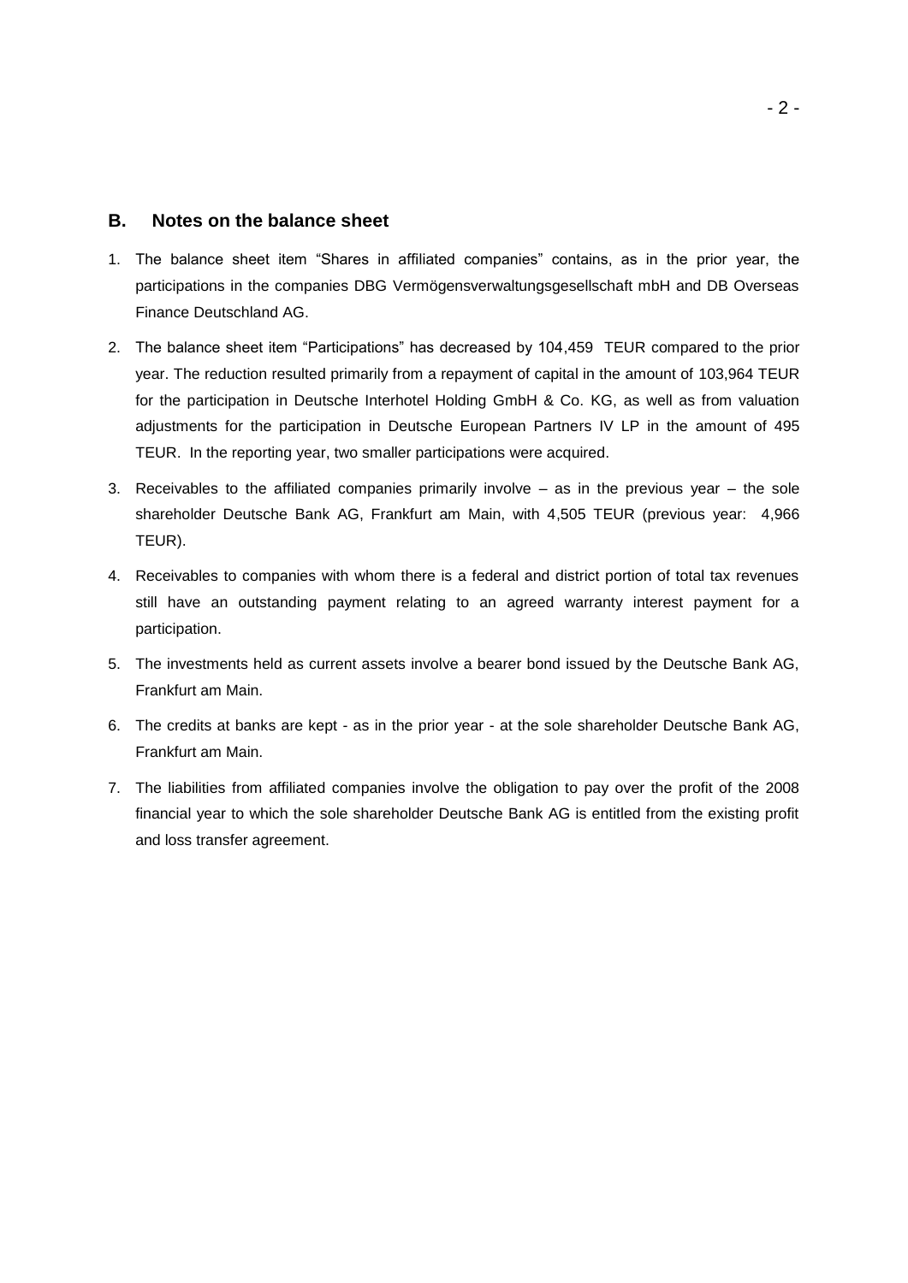#### **B. Notes on the balance sheet**

- 1. The balance sheet item "Shares in affiliated companies" contains, as in the prior year, the participations in the companies DBG Vermögensverwaltungsgesellschaft mbH and DB Overseas Finance Deutschland AG.
- 2. The balance sheet item "Participations" has decreased by 104,459 TEUR compared to the prior year. The reduction resulted primarily from a repayment of capital in the amount of 103,964 TEUR for the participation in Deutsche Interhotel Holding GmbH & Co. KG, as well as from valuation adjustments for the participation in Deutsche European Partners IV LP in the amount of 495 TEUR. In the reporting year, two smaller participations were acquired.
- 3. Receivables to the affiliated companies primarily involve as in the previous year the sole shareholder Deutsche Bank AG, Frankfurt am Main, with 4,505 TEUR (previous year: 4,966 TEUR).
- 4. Receivables to companies with whom there is a federal and district portion of total tax revenues still have an outstanding payment relating to an agreed warranty interest payment for a participation.
- 5. The investments held as current assets involve a bearer bond issued by the Deutsche Bank AG, Frankfurt am Main.
- 6. The credits at banks are kept as in the prior year at the sole shareholder Deutsche Bank AG, Frankfurt am Main.
- 7. The liabilities from affiliated companies involve the obligation to pay over the profit of the 2008 financial year to which the sole shareholder Deutsche Bank AG is entitled from the existing profit and loss transfer agreement.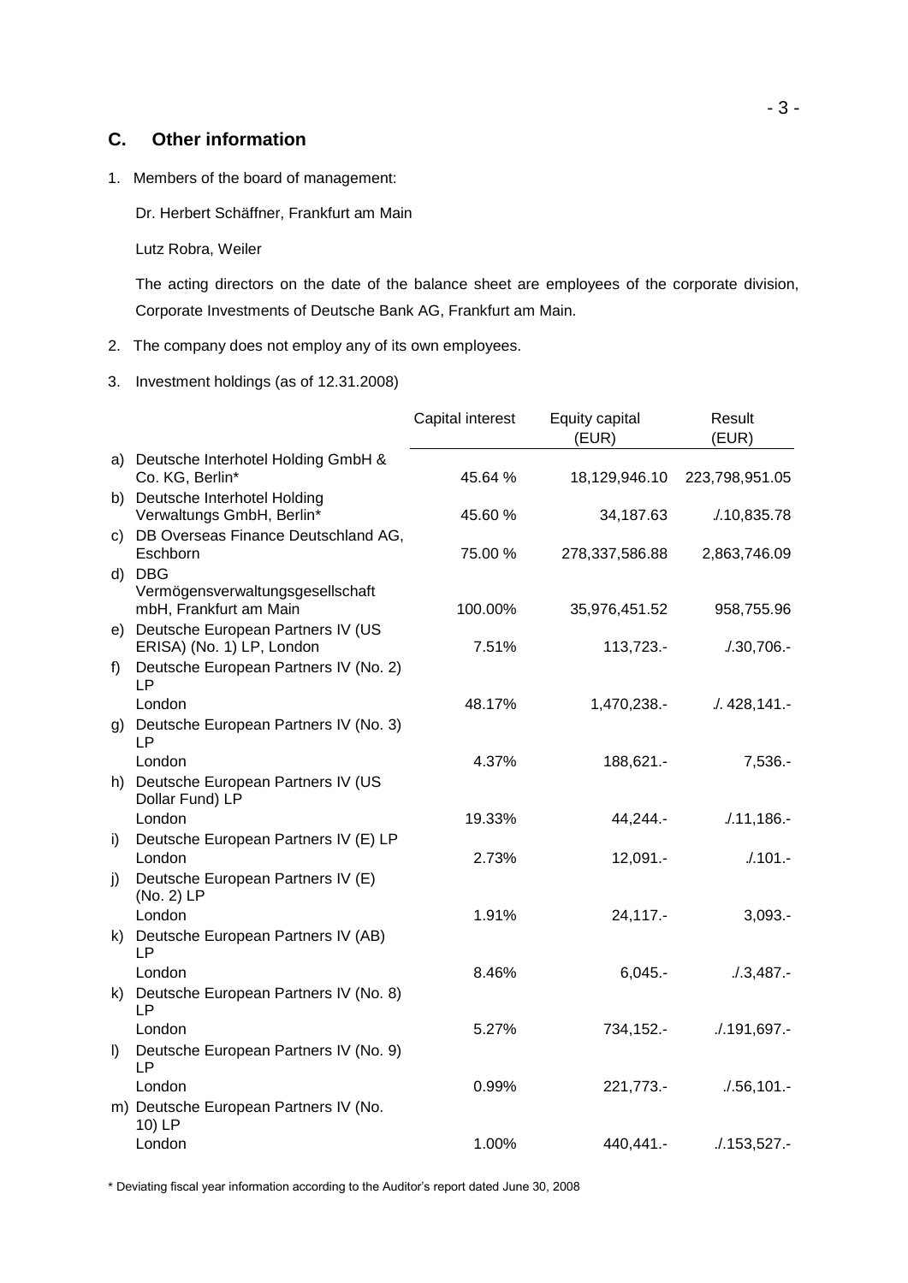#### **C. Other information**

1. Members of the board of management:

Dr. Herbert Schäffner, Frankfurt am Main

Lutz Robra, Weiler

The acting directors on the date of the balance sheet are employees of the corporate division, Corporate Investments of Deutsche Bank AG, Frankfurt am Main.

- 2. The company does not employ any of its own employees.
- 3. Investment holdings (as of 12.31.2008)

|         |                                                                      | Capital interest | Equity capital<br>(EUR) | Result<br>(EUR) |
|---------|----------------------------------------------------------------------|------------------|-------------------------|-----------------|
|         | a) Deutsche Interhotel Holding GmbH &<br>Co. KG, Berlin*             | 45.64 %          | 18,129,946.10           | 223,798,951.05  |
|         | b) Deutsche Interhotel Holding<br>Verwaltungs GmbH, Berlin*          | 45.60%           | 34,187.63               | 1.10,835.78     |
|         | c) DB Overseas Finance Deutschland AG,<br>Eschborn                   | 75.00 %          | 278,337,586.88          | 2,863,746.09    |
|         | d) DBG<br>Vermögensverwaltungsgesellschaft<br>mbH, Frankfurt am Main | 100.00%          | 35,976,451.52           | 958,755.96      |
|         | e) Deutsche European Partners IV (US<br>ERISA) (No. 1) LP, London    | 7.51%            | 113,723.-               | $.30,706. -$    |
| f)      | Deutsche European Partners IV (No. 2)<br><b>LP</b>                   |                  |                         |                 |
|         | London                                                               | 48.17%           | 1,470,238.-             | .428,141.       |
| g)      | Deutsche European Partners IV (No. 3)<br>LР                          |                  |                         |                 |
|         | London<br>h) Deutsche European Partners IV (US                       | 4.37%            | 188,621.-               | $7,536. -$      |
|         | Dollar Fund) LP                                                      |                  |                         |                 |
|         | London                                                               | 19.33%           | 44,244.-                | $.11,186. -$    |
| i)      | Deutsche European Partners IV (E) LP<br>London                       | 2.73%            | 12,091.-                | $/101 -$        |
| j)      | Deutsche European Partners IV (E)<br>(No. 2) LP                      |                  |                         |                 |
|         | London                                                               | 1.91%            | 24,117.-                | $3,093. -$      |
|         | k) Deutsche European Partners IV (AB)<br><b>LP</b>                   |                  |                         |                 |
|         | London                                                               | 8.46%            | $6,045. -$              | $.13,487. -$    |
| k).     | Deutsche European Partners IV (No. 8)<br><b>LP</b>                   |                  |                         |                 |
|         | London                                                               | 5.27%            | 734,152.-               | .191,697.       |
| $\vert$ | Deutsche European Partners IV (No. 9)<br><b>LP</b>                   |                  |                         |                 |
|         | London                                                               | 0.99%            | 221,773.-               | .7.56,101.      |
|         | m) Deutsche European Partners IV (No.<br>10) LP                      |                  |                         |                 |
|         | London                                                               | 1.00%            | 440,441.-               | .153,527.       |

\* Deviating fiscal year information according to the Auditor's report dated June 30, 2008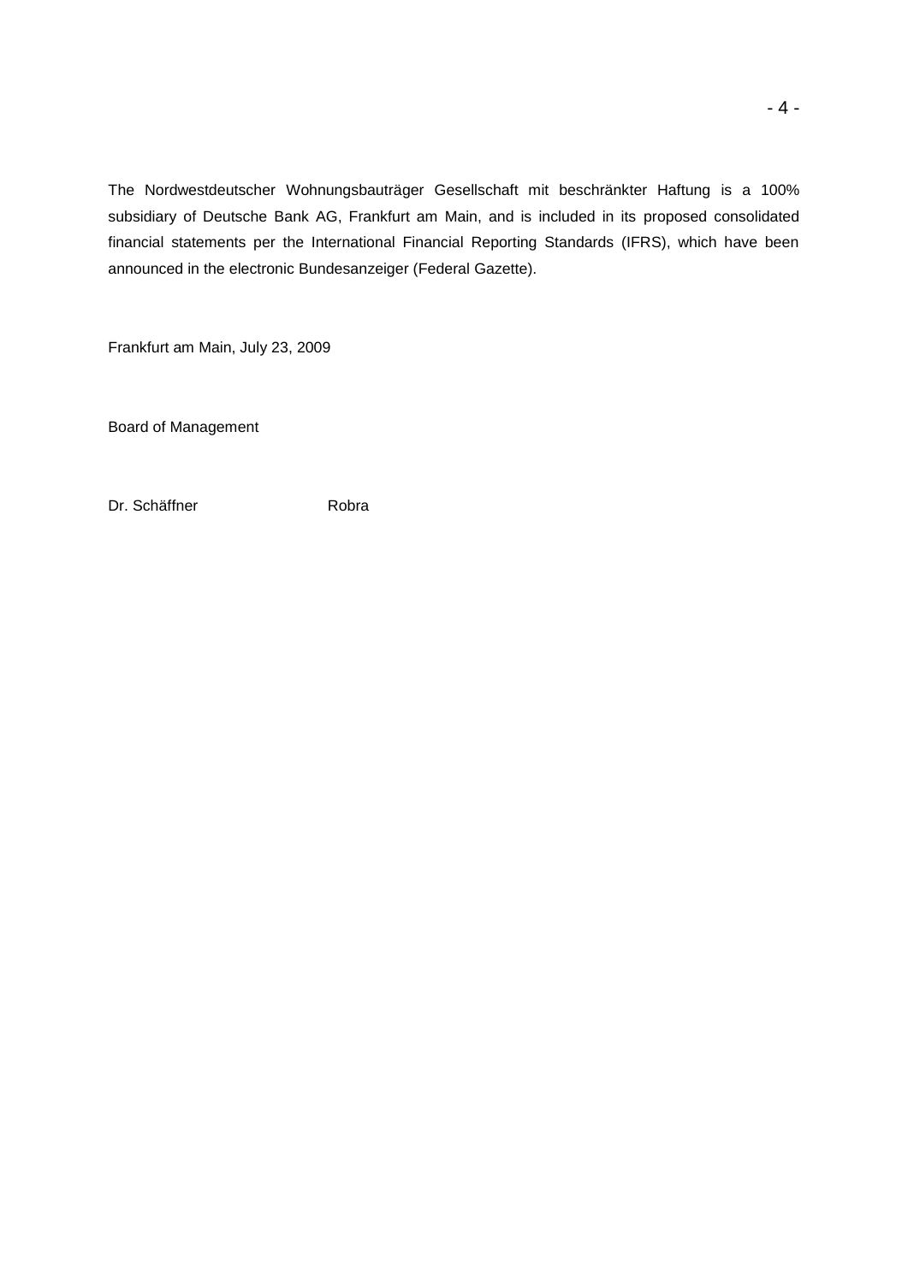The Nordwestdeutscher Wohnungsbauträger Gesellschaft mit beschränkter Haftung is a 100% subsidiary of Deutsche Bank AG, Frankfurt am Main, and is included in its proposed consolidated financial statements per the International Financial Reporting Standards (IFRS), which have been announced in the electronic Bundesanzeiger (Federal Gazette).

Frankfurt am Main, July 23, 2009

Board of Management

Dr. Schäffner **Robra**